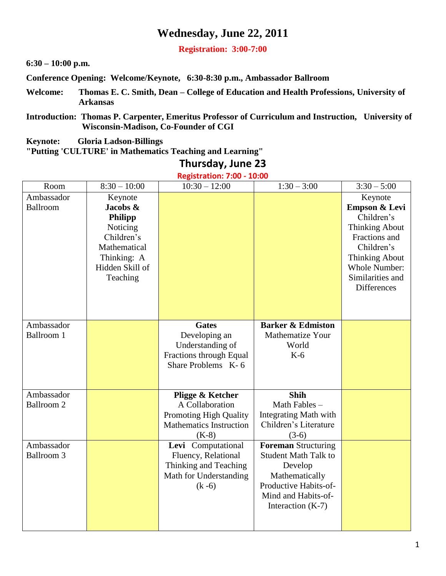### **Wednesday, June 22, 2011**

**Registration: 3:00-7:00**

**6:30 – 10:00 p.m.**

**Conference Opening: Welcome/Keynote, 6:30-8:30 p.m., Ambassador Ballroom**

- **Welcome: Thomas E. C. Smith, Dean – College of Education and Health Professions, University of Arkansas**
- **Introduction: Thomas P. Carpenter, Emeritus Professor of Curriculum and Instruction, University of Wisconsin-Madison, Co-Founder of CGI**

**Keynote: Gloria Ladson-Billings** 

**"Putting 'CULTURE' in Mathematics Teaching and Learning"**

### **Thursday, June 23**

**Registration: 7:00 - 10:00**

| Room              | $8:30 - 10:00$  | $10:30 - 12:00$                | $1:30 - 3:00$                           | $3:30 - 5:00$         |
|-------------------|-----------------|--------------------------------|-----------------------------------------|-----------------------|
| Ambassador        | Keynote         |                                |                                         | Keynote               |
| Ballroom          | Jacobs &        |                                |                                         | Empson & Levi         |
|                   | Philipp         |                                |                                         | Children's            |
|                   | Noticing        |                                |                                         | <b>Thinking About</b> |
|                   | Children's      |                                |                                         | Fractions and         |
|                   | Mathematical    |                                |                                         | Children's            |
|                   | Thinking: A     |                                |                                         | <b>Thinking About</b> |
|                   | Hidden Skill of |                                |                                         | <b>Whole Number:</b>  |
|                   | Teaching        |                                |                                         | Similarities and      |
|                   |                 |                                |                                         | Differences           |
|                   |                 |                                |                                         |                       |
|                   |                 |                                |                                         |                       |
| Ambassador        |                 | <b>Gates</b>                   | <b>Barker &amp; Edmiston</b>            |                       |
| <b>Ballroom 1</b> |                 | Developing an                  | <b>Mathematize Your</b>                 |                       |
|                   |                 | Understanding of               | World                                   |                       |
|                   |                 | Fractions through Equal        | $K-6$                                   |                       |
|                   |                 | Share Problems K-6             |                                         |                       |
|                   |                 |                                |                                         |                       |
| Ambassador        |                 | Pligge & Ketcher               | <b>Shih</b>                             |                       |
| Ballroom 2        |                 | A Collaboration                | Math Fables-                            |                       |
|                   |                 | Promoting High Quality         | <b>Integrating Math with</b>            |                       |
|                   |                 | <b>Mathematics Instruction</b> | Children's Literature                   |                       |
|                   |                 | $(K-8)$                        | $(3-6)$                                 |                       |
| Ambassador        |                 | Levi Computational             | <b>Foreman Structuring</b>              |                       |
| <b>Ballroom 3</b> |                 | Fluency, Relational            | <b>Student Math Talk to</b>             |                       |
|                   |                 | Thinking and Teaching          | Develop                                 |                       |
|                   |                 | Math for Understanding         | Mathematically<br>Productive Habits-of- |                       |
|                   |                 | $(k - 6)$                      | Mind and Habits-of-                     |                       |
|                   |                 |                                | Interaction $(K-7)$                     |                       |
|                   |                 |                                |                                         |                       |
|                   |                 |                                |                                         |                       |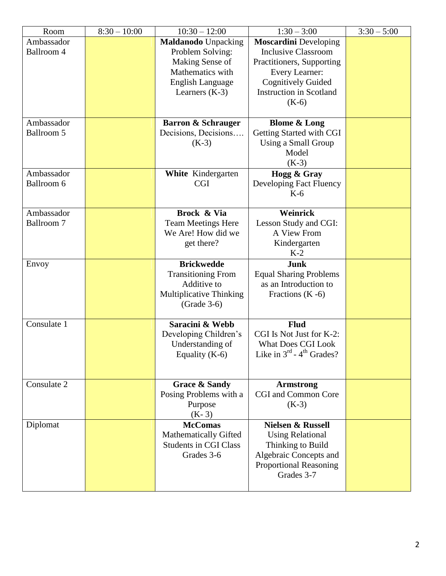| Room              | $8:30 - 10:00$ | $10:30 - 12:00$                                 | $1:30 - 3:00$                                     | $3:30 - 5:00$ |
|-------------------|----------------|-------------------------------------------------|---------------------------------------------------|---------------|
| Ambassador        |                | <b>Maldanodo Unpacking</b>                      | <b>Moscardini</b> Developing                      |               |
| Ballroom 4        |                | Problem Solving:                                | <b>Inclusive Classroom</b>                        |               |
|                   |                | Making Sense of                                 | Practitioners, Supporting                         |               |
|                   |                | Mathematics with                                | <b>Every Learner:</b>                             |               |
|                   |                | English Language                                | <b>Cognitively Guided</b>                         |               |
|                   |                | Learners $(K-3)$                                | <b>Instruction in Scotland</b>                    |               |
|                   |                |                                                 | $(K-6)$                                           |               |
|                   |                |                                                 |                                                   |               |
| Ambassador        |                | <b>Barron &amp; Schrauger</b>                   | <b>Blome &amp; Long</b>                           |               |
| <b>Ballroom 5</b> |                | Decisions, Decisions                            | Getting Started with CGI                          |               |
|                   |                | $(K-3)$                                         | Using a Small Group                               |               |
|                   |                |                                                 | Model                                             |               |
|                   |                |                                                 | $(K-3)$                                           |               |
| Ambassador        |                | White Kindergarten                              | Hogg & Gray                                       |               |
| Ballroom 6        |                | <b>CGI</b>                                      | Developing Fact Fluency                           |               |
|                   |                |                                                 | $K-6$                                             |               |
| Ambassador        |                | Brock & Via                                     | Weinrick                                          |               |
| Ballroom 7        |                |                                                 |                                                   |               |
|                   |                | <b>Team Meetings Here</b><br>We Are! How did we | Lesson Study and CGI:<br>A View From              |               |
|                   |                |                                                 |                                                   |               |
|                   |                | get there?                                      | Kindergarten<br>$K-2$                             |               |
|                   |                | <b>Brickwedde</b>                               | Junk                                              |               |
| Envoy             |                | <b>Transitioning From</b>                       | <b>Equal Sharing Problems</b>                     |               |
|                   |                |                                                 |                                                   |               |
|                   |                |                                                 |                                                   |               |
|                   |                | Additive to                                     | as an Introduction to                             |               |
|                   |                | Multiplicative Thinking                         | Fractions $(K - 6)$                               |               |
|                   |                | $(Grade 3-6)$                                   |                                                   |               |
|                   |                |                                                 |                                                   |               |
| Consulate 1       |                | Saracini & Webb                                 | <b>Flud</b><br>CGI Is Not Just for K-2:           |               |
|                   |                | Developing Children's                           |                                                   |               |
|                   |                | Understanding of                                | <b>What Does CGI Look</b>                         |               |
|                   |                | Equality $(K-6)$                                | Like in $3^{\text{rd}}$ - 4 <sup>th</sup> Grades? |               |
|                   |                |                                                 |                                                   |               |
| Consulate 2       |                | <b>Grace &amp; Sandy</b>                        | <b>Armstrong</b>                                  |               |
|                   |                | Posing Problems with a                          | <b>CGI</b> and Common Core                        |               |
|                   |                | Purpose                                         | $(K-3)$                                           |               |
|                   |                | $(K-3)$                                         |                                                   |               |
| Diplomat          |                | <b>McComas</b>                                  | <b>Nielsen &amp; Russell</b>                      |               |
|                   |                | <b>Mathematically Gifted</b>                    | <b>Using Relational</b>                           |               |
|                   |                | <b>Students in CGI Class</b>                    | Thinking to Build                                 |               |
|                   |                | Grades 3-6                                      | Algebraic Concepts and                            |               |
|                   |                |                                                 | Proportional Reasoning                            |               |
|                   |                |                                                 | Grades 3-7                                        |               |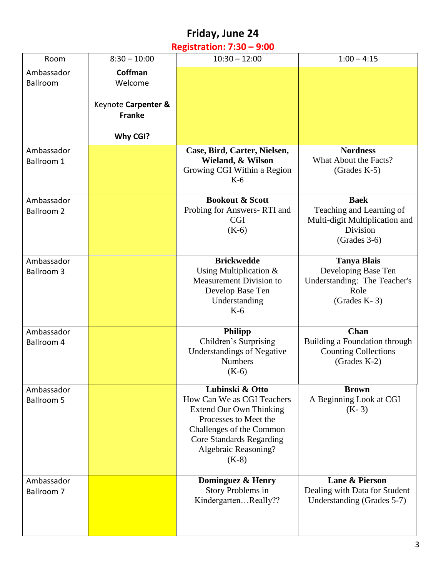# **Friday, June 24**

### **Registration: 7:30 – 9:00**

| Room                            | $8:30 - 10:00$                       | $10:30 - 12:00$                                                                                                                                                                                            | $1:00 - 4:15$                                                                                           |
|---------------------------------|--------------------------------------|------------------------------------------------------------------------------------------------------------------------------------------------------------------------------------------------------------|---------------------------------------------------------------------------------------------------------|
| Ambassador<br>Ballroom          | Coffman<br>Welcome                   |                                                                                                                                                                                                            |                                                                                                         |
|                                 | Keynote Carpenter &<br><b>Franke</b> |                                                                                                                                                                                                            |                                                                                                         |
|                                 | Why CGI?                             |                                                                                                                                                                                                            |                                                                                                         |
| Ambassador<br>Ballroom 1        |                                      | Case, Bird, Carter, Nielsen,<br>Wieland, & Wilson<br>Growing CGI Within a Region<br>$K-6$                                                                                                                  | <b>Nordness</b><br>What About the Facts?<br>$(Grades K-5)$                                              |
| Ambassador<br><b>Ballroom 2</b> |                                      | <b>Bookout &amp; Scott</b><br>Probing for Answers-RTI and<br><b>CGI</b><br>$(K-6)$                                                                                                                         | <b>Baek</b><br>Teaching and Learning of<br>Multi-digit Multiplication and<br>Division<br>$(Grades 3-6)$ |
| Ambassador<br><b>Ballroom 3</b> |                                      | <b>Brickwedde</b><br>Using Multiplication $&$<br><b>Measurement Division to</b><br>Develop Base Ten<br>Understanding<br>$K-6$                                                                              | <b>Tanya Blais</b><br>Developing Base Ten<br>Understanding: The Teacher's<br>Role<br>(Grades $K-3$ )    |
| Ambassador<br>Ballroom 4        |                                      | <b>Philipp</b><br>Children's Surprising<br><b>Understandings of Negative</b><br><b>Numbers</b><br>$(K-6)$                                                                                                  | Chan<br>Building a Foundation through<br><b>Counting Collections</b><br>$(Grades K-2)$                  |
| Ambassador<br><b>Ballroom 5</b> |                                      | Lubinski & Otto<br>How Can We as CGI Teachers<br><b>Extend Our Own Thinking</b><br>Processes to Meet the<br>Challenges of the Common<br><b>Core Standards Regarding</b><br>Algebraic Reasoning?<br>$(K-8)$ | <b>Brown</b><br>A Beginning Look at CGI<br>$(K-3)$                                                      |
| Ambassador<br>Ballroom 7        |                                      | Dominguez & Henry<br>Story Problems in<br>KindergartenReally??                                                                                                                                             | <b>Lane &amp; Pierson</b><br>Dealing with Data for Student<br>Understanding (Grades 5-7)                |